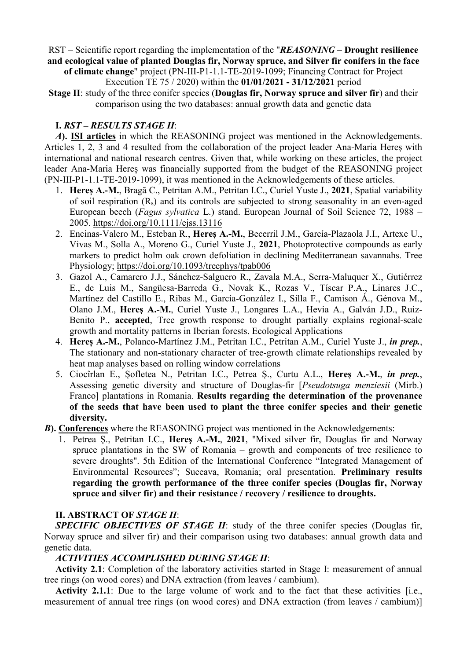RST – Scientific report regarding the implementation of the "REASONING – Drought resilience and ecological value of planted Douglas fir, Norway spruce, and Silver fir conifers in the face

of climate change" project (PN-III-P1-1.1-TE-2019-1099; Financing Contract for Project Execution TE 75 / 2020) within the 01/01/2021 - 31/12/2021 period

Stage II: study of the three conifer species (Douglas fir, Norway spruce and silver fir) and their comparison using the two databases: annual growth data and genetic data

### I. RST – RESULTS STAGE II:

A). ISI articles in which the REASONING project was mentioned in the Acknowledgements. Articles 1, 2, 3 and 4 resulted from the collaboration of the project leader Ana-Maria Hereș with international and national research centres. Given that, while working on these articles, the project leader Ana-Maria Hereș was financially supported from the budget of the REASONING project (PN-III-P1-1.1-TE-2019-1099), it was mentioned in the Acknowledgements of these articles.

- 1. Hereș A.-M., Bragă C., Petritan A.M., Petritan I.C., Curiel Yuste J., 2021, Spatial variability of soil respiration (Rs) and its controls are subjected to strong seasonality in an even-aged European beech (Fagus sylvatica L.) stand. European Journal of Soil Science 72, 1988 – 2005. https://doi.org/10.1111/ejss.13116
- 2. Encinas-Valero M., Esteban R., Hereș A.-M., Becerril J.M., García-Plazaola J.I., Artexe U., Vivas M., Solla A., Moreno G., Curiel Yuste J., 2021, Photoprotective compounds as early markers to predict holm oak crown defoliation in declining Mediterranean savannahs. Tree Physiology; https://doi.org/10.1093/treephys/tpab006
- 3. Gazol A., Camarero J.J., Sánchez-Salguero R., Zavala M.A., Serra-Maluquer X., Gutiérrez E., de Luis M., Sangüesa-Barreda G., Novak K., Rozas V., Tíscar P.A., Linares J.C., Martínez del Castillo E., Ribas M., García-González I., Silla F., Camison Á., Génova M., Olano J.M., Hereş A.-M., Curiel Yuste J., Longares L.A., Hevia A., Galván J.D., Ruiz-Benito P., accepted, Tree growth response to drought partially explains regional-scale growth and mortality patterns in Iberian forests. Ecological Applications
- 4. Heres A.-M., Polanco-Martínez J.M., Petritan I.C., Petritan A.M., Curiel Yuste J., in prep., The stationary and non-stationary character of tree-growth climate relationships revealed by heat map analyses based on rolling window correlations
- 5. Ciocîrlan E., Șofletea N., Petritan I.C., Petrea Ș., Curtu A.L., Hereș A.-M., in prep., Assessing genetic diversity and structure of Douglas-fir [Pseudotsuga menziesii (Mirb.) Franco] plantations in Romania. Results regarding the determination of the provenance of the seeds that have been used to plant the three conifer species and their genetic diversity.
- **B). Conferences** where the REASONING project was mentioned in the Acknowledgements:
	- 1. Petrea Ş., Petritan I.C., Hereş A.-M., 2021, "Mixed silver fir, Douglas fir and Norway spruce plantations in the SW of Romania – growth and components of tree resilience to severe droughts". 5th Edition of the International Conference "Integrated Management of Environmental Resources"; Suceava, Romania; oral presentation. Preliminary results regarding the growth performance of the three conifer species (Douglas fir, Norway spruce and silver fir) and their resistance / recovery / resilience to droughts.

# II. ABSTRACT OF STAGE II:

SPECIFIC OBJECTIVES OF STAGE II: study of the three conifer species (Douglas fir, Norway spruce and silver fir) and their comparison using two databases: annual growth data and genetic data.

# ACTIVITIES ACCOMPLISHED DURING STAGE II:

Activity 2.1: Completion of the laboratory activities started in Stage I: measurement of annual tree rings (on wood cores) and DNA extraction (from leaves / cambium).

Activity 2.1.1: Due to the large volume of work and to the fact that these activities [i.e., measurement of annual tree rings (on wood cores) and DNA extraction (from leaves / cambium)]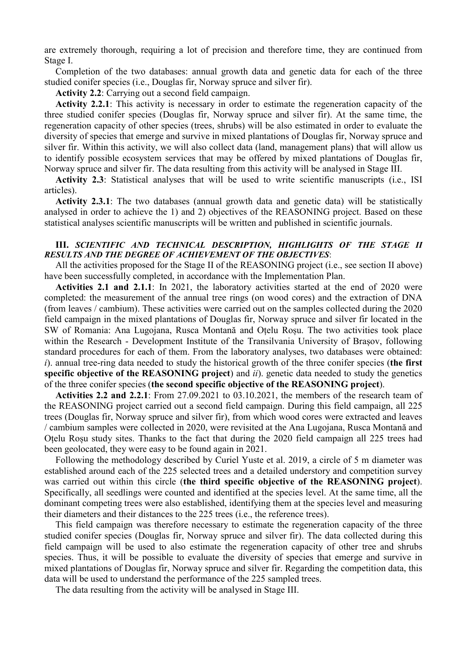are extremely thorough, requiring a lot of precision and therefore time, they are continued from Stage I.

Completion of the two databases: annual growth data and genetic data for each of the three studied conifer species (i.e., Douglas fir, Norway spruce and silver fir).

Activity 2.2: Carrying out a second field campaign.

Activity 2.2.1: This activity is necessary in order to estimate the regeneration capacity of the three studied conifer species (Douglas fir, Norway spruce and silver fir). At the same time, the regeneration capacity of other species (trees, shrubs) will be also estimated in order to evaluate the diversity of species that emerge and survive in mixed plantations of Douglas fir, Norway spruce and silver fir. Within this activity, we will also collect data (land, management plans) that will allow us to identify possible ecosystem services that may be offered by mixed plantations of Douglas fir, Norway spruce and silver fir. The data resulting from this activity will be analysed in Stage III.

Activity 2.3: Statistical analyses that will be used to write scientific manuscripts (i.e., ISI articles).

Activity 2.3.1: The two databases (annual growth data and genetic data) will be statistically analysed in order to achieve the 1) and 2) objectives of the REASONING project. Based on these statistical analyses scientific manuscripts will be written and published in scientific journals.

### III. SCIENTIFIC AND TECHNICAL DESCRIPTION, HIGHLIGHTS OF THE STAGE II RESULTS AND THE DEGREE OF ACHIEVEMENT OF THE OBJECTIVES:

All the activities proposed for the Stage II of the REASONING project (i.e., see section II above) have been successfully completed, in accordance with the Implementation Plan.

Activities 2.1 and 2.1.1: In 2021, the laboratory activities started at the end of 2020 were completed: the measurement of the annual tree rings (on wood cores) and the extraction of DNA (from leaves / cambium). These activities were carried out on the samples collected during the 2020 field campaign in the mixed plantations of Douglas fir, Norway spruce and silver fir located in the SW of Romania: Ana Lugojana, Rusca Montană and Oțelu Roșu. The two activities took place within the Research - Development Institute of the Transilvania University of Brașov, following standard procedures for each of them. From the laboratory analyses, two databases were obtained:  $i$ ). annual tree-ring data needed to study the historical growth of the three conifer species (the first specific objective of the REASONING project) and  $ii$ ), genetic data needed to study the genetics of the three conifer species (the second specific objective of the REASONING project).

Activities 2.2 and 2.2.1: From 27.09.2021 to 03.10.2021, the members of the research team of the REASONING project carried out a second field campaign. During this field campaign, all 225 trees (Douglas fir, Norway spruce and silver fir), from which wood cores were extracted and leaves / cambium samples were collected in 2020, were revisited at the Ana Lugojana, Rusca Montană and Oțelu Roșu study sites. Thanks to the fact that during the 2020 field campaign all 225 trees had been geolocated, they were easy to be found again in 2021.

Following the methodology described by Curiel Yuste et al. 2019, a circle of 5 m diameter was established around each of the 225 selected trees and a detailed understory and competition survey was carried out within this circle (the third specific objective of the REASONING project). Specifically, all seedlings were counted and identified at the species level. At the same time, all the dominant competing trees were also established, identifying them at the species level and measuring their diameters and their distances to the 225 trees (i.e., the reference trees).

This field campaign was therefore necessary to estimate the regeneration capacity of the three studied conifer species (Douglas fir, Norway spruce and silver fir). The data collected during this field campaign will be used to also estimate the regeneration capacity of other tree and shrubs species. Thus, it will be possible to evaluate the diversity of species that emerge and survive in mixed plantations of Douglas fir, Norway spruce and silver fir. Regarding the competition data, this data will be used to understand the performance of the 225 sampled trees.

The data resulting from the activity will be analysed in Stage III.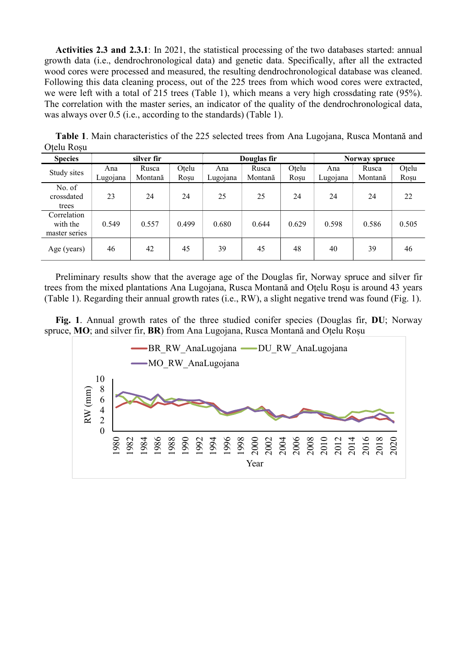Activities 2.3 and 2.3.1: In 2021, the statistical processing of the two databases started: annual growth data (i.e., dendrochronological data) and genetic data. Specifically, after all the extracted wood cores were processed and measured, the resulting dendrochronological database was cleaned. Following this data cleaning process, out of the 225 trees from which wood cores were extracted, we were left with a total of 215 trees (Table 1), which means a very high crossdating rate (95%). The correlation with the master series, an indicator of the quality of the dendrochronological data, was always over 0.5 (i.e., according to the standards) (Table 1).

| <b>Species</b>                           | silver fir      |                  |               | Douglas fir     |                  |               | Norway spruce   |                  |               |
|------------------------------------------|-----------------|------------------|---------------|-----------------|------------------|---------------|-----------------|------------------|---------------|
| Study sites                              | Ana<br>Lugojana | Rusca<br>Montană | Otelu<br>Roșu | Ana<br>Lugojana | Rusca<br>Montană | Otelu<br>Roșu | Ana<br>Lugojana | Rusca<br>Montană | Otelu<br>Roșu |
| No. of<br>crossdated<br>trees            | 23              | 24               | 24            | 25              | 25               | 24            | 24              | 24               | 22            |
| Correlation<br>with the<br>master series | 0.549           | 0.557            | 0.499         | 0.680           | 0.644            | 0.629         | 0.598           | 0.586            | 0.505         |
| Age (years)                              | 46              | 42               | 45            | 39              | 45               | 48            | 40              | 39               | 46            |

Table 1. Main characteristics of the 225 selected trees from Ana Lugojana, Rusca Montană and Oțelu Roșu

Preliminary results show that the average age of the Douglas fir, Norway spruce and silver fir trees from the mixed plantations Ana Lugojana, Rusca Montană and Oțelu Roșu is around 43 years (Table 1). Regarding their annual growth rates (i.e., RW), a slight negative trend was found (Fig. 1).

Fig. 1. Annual growth rates of the three studied conifer species (Douglas fir, DU; Norway spruce, MO; and silver fir, BR) from Ana Lugojana, Rusca Montană and Oțelu Roșu

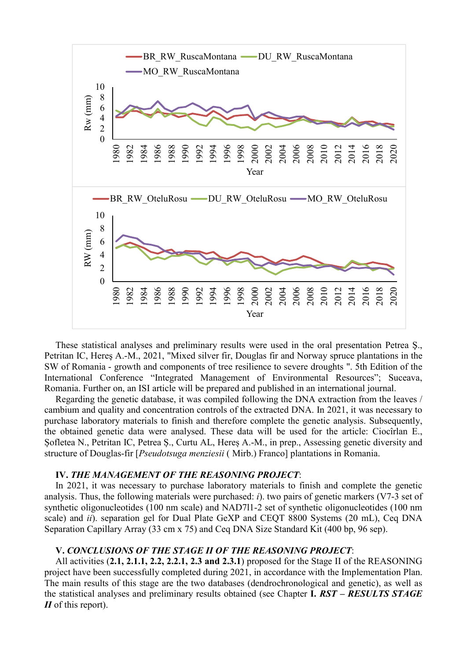

These statistical analyses and preliminary results were used in the oral presentation Petrea Ş., Petritan IC, Hereş A.-M., 2021, "Mixed silver fir, Douglas fir and Norway spruce plantations in the SW of Romania - growth and components of tree resilience to severe droughts ". 5th Edition of the International Conference "Integrated Management of Environmental Resources"; Suceava, Romania. Further on, an ISI article will be prepared and published in an international journal.

Regarding the genetic database, it was compiled following the DNA extraction from the leaves / cambium and quality and concentration controls of the extracted DNA. In 2021, it was necessary to purchase laboratory materials to finish and therefore complete the genetic analysis. Subsequently, the obtained genetic data were analysed. These data will be used for the article: Ciocîrlan E., Șofletea N., Petritan IC, Petrea Ș., Curtu AL, Hereș A.-M., in prep., Assessing genetic diversity and structure of Douglas-fir [Pseudotsuga menziesii ( Mirb.) Franco] plantations in Romania.

#### IV. THE MANAGEMENT OF THE REASONING PROJECT:

In 2021, it was necessary to purchase laboratory materials to finish and complete the genetic analysis. Thus, the following materials were purchased: i). two pairs of genetic markers (V7-3 set of synthetic oligonucleotides (100 nm scale) and NAD7l1-2 set of synthetic oligonucleotides (100 nm scale) and *ii*). separation gel for Dual Plate GeXP and CEQT 8800 Systems (20 mL), Ceq DNA Separation Capillary Array (33 cm x 75) and Ceq DNA Size Standard Kit (400 bp, 96 sep).

#### V. CONCLUSIONS OF THE STAGE II OF THE REASONING PROJECT:

All activities (2.1, 2.1.1, 2.2, 2.2.1, 2.3 and 2.3.1) proposed for the Stage II of the REASONING project have been successfully completed during 2021, in accordance with the Implementation Plan. The main results of this stage are the two databases (dendrochronological and genetic), as well as the statistical analyses and preliminary results obtained (see Chapter I. RST – RESULTS STAGE  $II$  of this report).